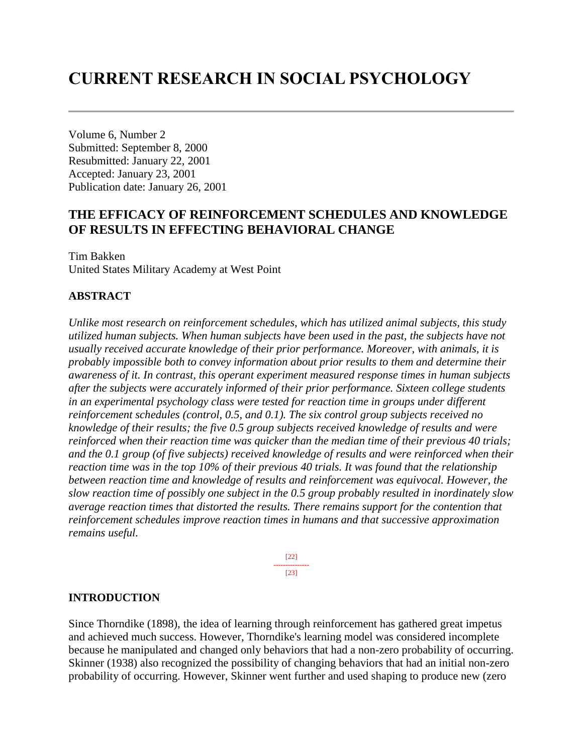# **CURRENT RESEARCH IN SOCIAL PSYCHOLOGY**

Volume 6, Number 2 Submitted: September 8, 2000 Resubmitted: January 22, 2001 Accepted: January 23, 2001 Publication date: January 26, 2001

# **THE EFFICACY OF REINFORCEMENT SCHEDULES AND KNOWLEDGE OF RESULTS IN EFFECTING BEHAVIORAL CHANGE**

Tim Bakken United States Military Academy at West Point

#### **ABSTRACT**

*Unlike most research on reinforcement schedules, which has utilized animal subjects, this study utilized human subjects. When human subjects have been used in the past, the subjects have not usually received accurate knowledge of their prior performance. Moreover, with animals, it is probably impossible both to convey information about prior results to them and determine their awareness of it. In contrast, this operant experiment measured response times in human subjects after the subjects were accurately informed of their prior performance. Sixteen college students in an experimental psychology class were tested for reaction time in groups under different reinforcement schedules (control, 0.5, and 0.1). The six control group subjects received no knowledge of their results; the five 0.5 group subjects received knowledge of results and were reinforced when their reaction time was quicker than the median time of their previous 40 trials; and the 0.1 group (of five subjects) received knowledge of results and were reinforced when their reaction time was in the top 10% of their previous 40 trials. It was found that the relationship between reaction time and knowledge of results and reinforcement was equivocal. However, the slow reaction time of possibly one subject in the 0.5 group probably resulted in inordinately slow average reaction times that distorted the results. There remains support for the contention that reinforcement schedules improve reaction times in humans and that successive approximation remains useful.*

> [22] --------------- [23]

#### **INTRODUCTION**

Since Thorndike (1898), the idea of learning through reinforcement has gathered great impetus and achieved much success. However, Thorndike's learning model was considered incomplete because he manipulated and changed only behaviors that had a non-zero probability of occurring. Skinner (1938) also recognized the possibility of changing behaviors that had an initial non-zero probability of occurring. However, Skinner went further and used shaping to produce new (zero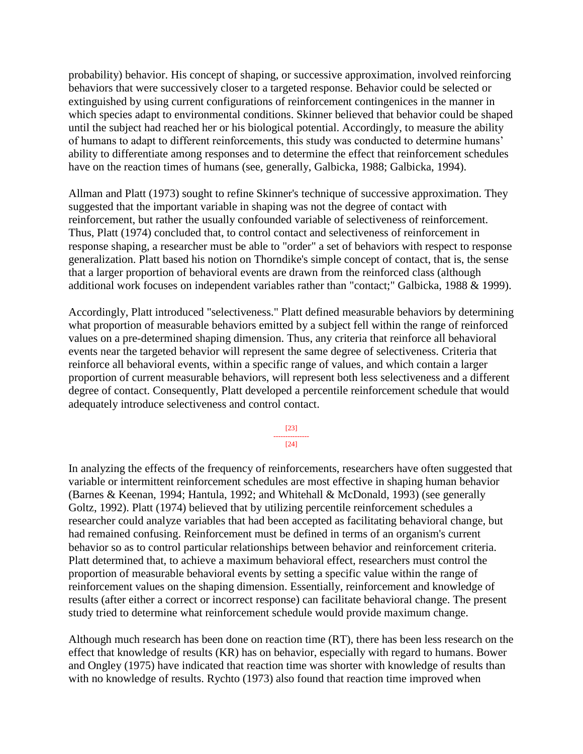probability) behavior. His concept of shaping, or successive approximation, involved reinforcing behaviors that were successively closer to a targeted response. Behavior could be selected or extinguished by using current configurations of reinforcement contingenices in the manner in which species adapt to environmental conditions. Skinner believed that behavior could be shaped until the subject had reached her or his biological potential. Accordingly, to measure the ability of humans to adapt to different reinforcements, this study was conducted to determine humans' ability to differentiate among responses and to determine the effect that reinforcement schedules have on the reaction times of humans (see, generally, Galbicka, 1988; Galbicka, 1994).

Allman and Platt (1973) sought to refine Skinner's technique of successive approximation. They suggested that the important variable in shaping was not the degree of contact with reinforcement, but rather the usually confounded variable of selectiveness of reinforcement. Thus, Platt (1974) concluded that, to control contact and selectiveness of reinforcement in response shaping, a researcher must be able to "order" a set of behaviors with respect to response generalization. Platt based his notion on Thorndike's simple concept of contact, that is, the sense that a larger proportion of behavioral events are drawn from the reinforced class (although additional work focuses on independent variables rather than "contact;" Galbicka, 1988 & 1999).

Accordingly, Platt introduced "selectiveness." Platt defined measurable behaviors by determining what proportion of measurable behaviors emitted by a subject fell within the range of reinforced values on a pre-determined shaping dimension. Thus, any criteria that reinforce all behavioral events near the targeted behavior will represent the same degree of selectiveness. Criteria that reinforce all behavioral events, within a specific range of values, and which contain a larger proportion of current measurable behaviors, will represent both less selectiveness and a different degree of contact. Consequently, Platt developed a percentile reinforcement schedule that would adequately introduce selectiveness and control contact.

> [23] --------------- [24]

In analyzing the effects of the frequency of reinforcements, researchers have often suggested that variable or intermittent reinforcement schedules are most effective in shaping human behavior (Barnes & Keenan, 1994; Hantula, 1992; and Whitehall & McDonald, 1993) (see generally Goltz, 1992). Platt (1974) believed that by utilizing percentile reinforcement schedules a researcher could analyze variables that had been accepted as facilitating behavioral change, but had remained confusing. Reinforcement must be defined in terms of an organism's current behavior so as to control particular relationships between behavior and reinforcement criteria. Platt determined that, to achieve a maximum behavioral effect, researchers must control the proportion of measurable behavioral events by setting a specific value within the range of reinforcement values on the shaping dimension. Essentially, reinforcement and knowledge of results (after either a correct or incorrect response) can facilitate behavioral change. The present study tried to determine what reinforcement schedule would provide maximum change.

Although much research has been done on reaction time (RT), there has been less research on the effect that knowledge of results (KR) has on behavior, especially with regard to humans. Bower and Ongley (1975) have indicated that reaction time was shorter with knowledge of results than with no knowledge of results. Rychto (1973) also found that reaction time improved when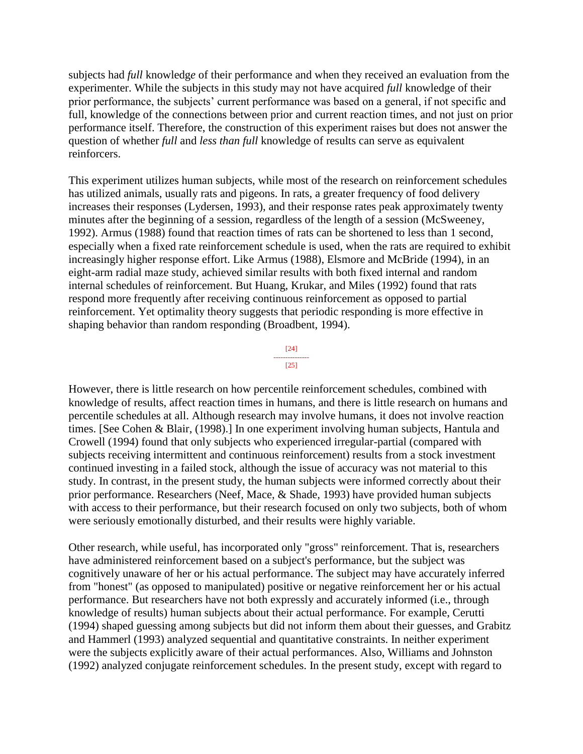subjects had *full* knowledg*e* of their performance and when they received an evaluation from the experimenter. While the subjects in this study may not have acquired *full* knowledge of their prior performance, the subjects' current performance was based on a general, if not specific and full, knowledge of the connections between prior and current reaction times, and not just on prior performance itself. Therefore, the construction of this experiment raises but does not answer the question of whether *full* and *less than full* knowledge of results can serve as equivalent reinforcers.

This experiment utilizes human subjects, while most of the research on reinforcement schedules has utilized animals, usually rats and pigeons. In rats, a greater frequency of food delivery increases their responses (Lydersen, 1993), and their response rates peak approximately twenty minutes after the beginning of a session, regardless of the length of a session (McSweeney, 1992). Armus (1988) found that reaction times of rats can be shortened to less than 1 second, especially when a fixed rate reinforcement schedule is used, when the rats are required to exhibit increasingly higher response effort. Like Armus (1988), Elsmore and McBride (1994), in an eight-arm radial maze study, achieved similar results with both fixed internal and random internal schedules of reinforcement. But Huang, Krukar, and Miles (1992) found that rats respond more frequently after receiving continuous reinforcement as opposed to partial reinforcement. Yet optimality theory suggests that periodic responding is more effective in shaping behavior than random responding (Broadbent, 1994).



However, there is little research on how percentile reinforcement schedules, combined with knowledge of results, affect reaction times in humans, and there is little research on humans and percentile schedules at all. Although research may involve humans, it does not involve reaction times. [See Cohen & Blair, (1998).] In one experiment involving human subjects, Hantula and Crowell (1994) found that only subjects who experienced irregular-partial (compared with subjects receiving intermittent and continuous reinforcement) results from a stock investment continued investing in a failed stock, although the issue of accuracy was not material to this study. In contrast, in the present study, the human subjects were informed correctly about their prior performance. Researchers (Neef, Mace, & Shade, 1993) have provided human subjects with access to their performance, but their research focused on only two subjects, both of whom were seriously emotionally disturbed, and their results were highly variable.

Other research, while useful, has incorporated only "gross" reinforcement. That is, researchers have administered reinforcement based on a subject's performance, but the subject was cognitively unaware of her or his actual performance. The subject may have accurately inferred from "honest" (as opposed to manipulated) positive or negative reinforcement her or his actual performance. But researchers have not both expressly and accurately informed (i.e., through knowledge of results) human subjects about their actual performance. For example, Cerutti (1994) shaped guessing among subjects but did not inform them about their guesses, and Grabitz and Hammerl (1993) analyzed sequential and quantitative constraints. In neither experiment were the subjects explicitly aware of their actual performances. Also, Williams and Johnston (1992) analyzed conjugate reinforcement schedules. In the present study, except with regard to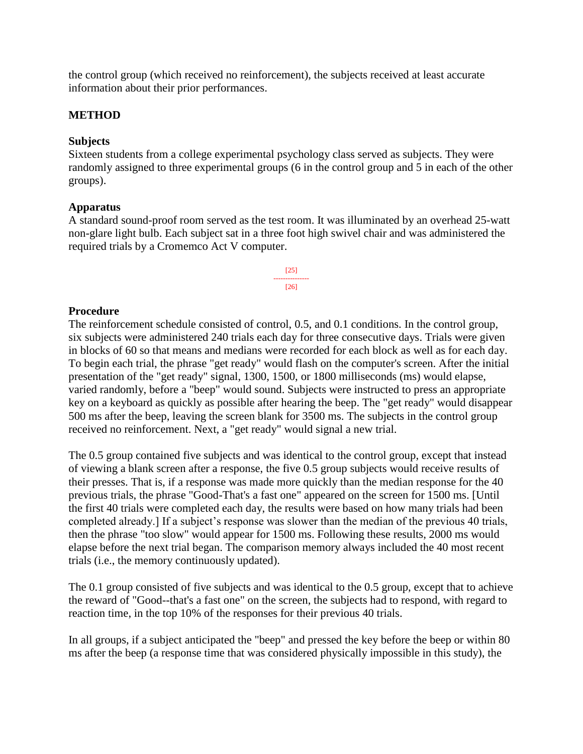the control group (which received no reinforcement), the subjects received at least accurate information about their prior performances.

#### **METHOD**

#### **Subjects**

Sixteen students from a college experimental psychology class served as subjects. They were randomly assigned to three experimental groups (6 in the control group and 5 in each of the other groups).

#### **Apparatus**

A standard sound-proof room served as the test room. It was illuminated by an overhead 25-watt non-glare light bulb. Each subject sat in a three foot high swivel chair and was administered the required trials by a Cromemco Act V computer.



#### **Procedure**

The reinforcement schedule consisted of control, 0.5, and 0.1 conditions. In the control group, six subjects were administered 240 trials each day for three consecutive days. Trials were given in blocks of 60 so that means and medians were recorded for each block as well as for each day. To begin each trial, the phrase "get ready" would flash on the computer's screen. After the initial presentation of the "get ready" signal, 1300, 1500, or 1800 milliseconds (ms) would elapse, varied randomly, before a "beep" would sound. Subjects were instructed to press an appropriate key on a keyboard as quickly as possible after hearing the beep. The "get ready" would disappear 500 ms after the beep, leaving the screen blank for 3500 ms. The subjects in the control group received no reinforcement. Next, a "get ready" would signal a new trial.

The 0.5 group contained five subjects and was identical to the control group, except that instead of viewing a blank screen after a response, the five 0.5 group subjects would receive results of their presses. That is, if a response was made more quickly than the median response for the 40 previous trials, the phrase "Good-That's a fast one" appeared on the screen for 1500 ms. [Until the first 40 trials were completed each day, the results were based on how many trials had been completed already.] If a subject's response was slower than the median of the previous 40 trials, then the phrase "too slow" would appear for 1500 ms. Following these results, 2000 ms would elapse before the next trial began. The comparison memory always included the 40 most recent trials (i.e., the memory continuously updated).

The 0.1 group consisted of five subjects and was identical to the 0.5 group, except that to achieve the reward of "Good--that's a fast one" on the screen, the subjects had to respond, with regard to reaction time, in the top 10% of the responses for their previous 40 trials.

In all groups, if a subject anticipated the "beep" and pressed the key before the beep or within 80 ms after the beep (a response time that was considered physically impossible in this study), the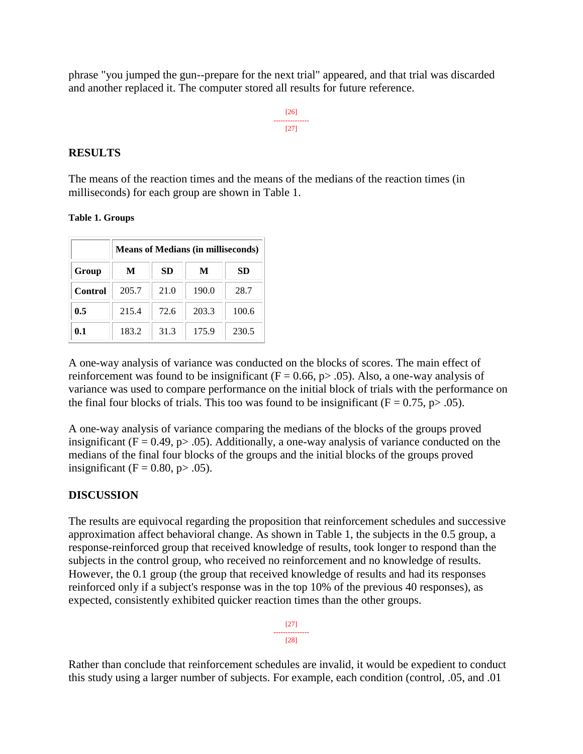phrase "you jumped the gun--prepare for the next trial" appeared, and that trial was discarded and another replaced it. The computer stored all results for future reference.

> [26] --------------- [27]

#### **RESULTS**

The means of the reaction times and the means of the medians of the reaction times (in milliseconds) for each group are shown in Table 1.

**Table 1. Groups**

|         | <b>Means of Medians (in milliseconds)</b> |      |       |       |
|---------|-------------------------------------------|------|-------|-------|
| Group   | M                                         | SD   | M     | SD    |
| Control | 205.7                                     | 21.0 | 190.0 | 28.7  |
| 0.5     | 215.4                                     | 72.6 | 203.3 | 100.6 |
| 0.1     | 183.2                                     | 31.3 | 175.9 | 230.5 |

A one-way analysis of variance was conducted on the blocks of scores. The main effect of reinforcement was found to be insignificant ( $F = 0.66$ ,  $p > .05$ ). Also, a one-way analysis of variance was used to compare performance on the initial block of trials with the performance on the final four blocks of trials. This too was found to be insignificant ( $F = 0.75$ ,  $p > .05$ ).

A one-way analysis of variance comparing the medians of the blocks of the groups proved insignificant ( $F = 0.49$ ,  $p > .05$ ). Additionally, a one-way analysis of variance conducted on the medians of the final four blocks of the groups and the initial blocks of the groups proved insignificant ( $F = 0.80$ ,  $p > .05$ ).

### **DISCUSSION**

The results are equivocal regarding the proposition that reinforcement schedules and successive approximation affect behavioral change. As shown in Table 1, the subjects in the 0.5 group, a response-reinforced group that received knowledge of results, took longer to respond than the subjects in the control group, who received no reinforcement and no knowledge of results. However, the 0.1 group (the group that received knowledge of results and had its responses reinforced only if a subject's response was in the top 10% of the previous 40 responses), as expected, consistently exhibited quicker reaction times than the other groups.

> [27] --------------- [28]

Rather than conclude that reinforcement schedules are invalid, it would be expedient to conduct this study using a larger number of subjects. For example, each condition (control, .05, and .01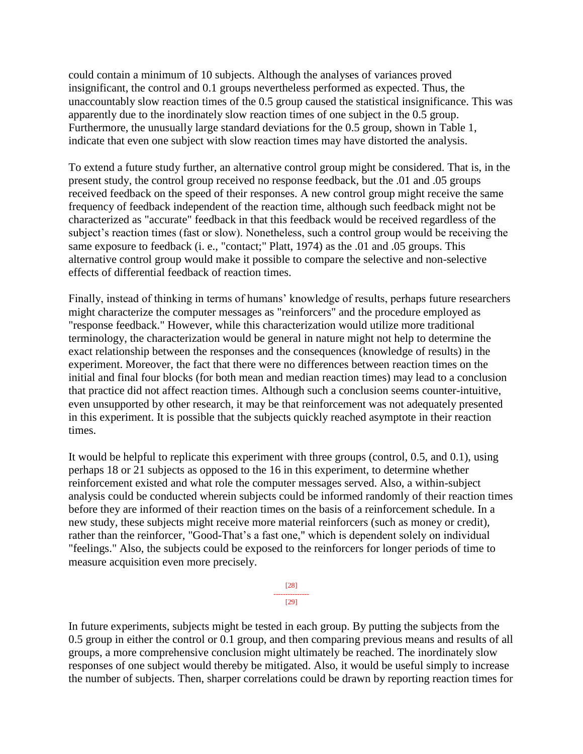could contain a minimum of 10 subjects. Although the analyses of variances proved insignificant, the control and 0.1 groups nevertheless performed as expected. Thus, the unaccountably slow reaction times of the 0.5 group caused the statistical insignificance. This was apparently due to the inordinately slow reaction times of one subject in the 0.5 group. Furthermore, the unusually large standard deviations for the 0.5 group, shown in Table 1, indicate that even one subject with slow reaction times may have distorted the analysis.

To extend a future study further, an alternative control group might be considered. That is, in the present study, the control group received no response feedback, but the .01 and .05 groups received feedback on the speed of their responses. A new control group might receive the same frequency of feedback independent of the reaction time, although such feedback might not be characterized as "accurate" feedback in that this feedback would be received regardless of the subject's reaction times (fast or slow). Nonetheless, such a control group would be receiving the same exposure to feedback (i. e., "contact;" Platt, 1974) as the .01 and .05 groups. This alternative control group would make it possible to compare the selective and non-selective effects of differential feedback of reaction times.

Finally, instead of thinking in terms of humans' knowledge of results, perhaps future researchers might characterize the computer messages as "reinforcers" and the procedure employed as "response feedback." However, while this characterization would utilize more traditional terminology, the characterization would be general in nature might not help to determine the exact relationship between the responses and the consequences (knowledge of results) in the experiment. Moreover, the fact that there were no differences between reaction times on the initial and final four blocks (for both mean and median reaction times) may lead to a conclusion that practice did not affect reaction times. Although such a conclusion seems counter-intuitive, even unsupported by other research, it may be that reinforcement was not adequately presented in this experiment. It is possible that the subjects quickly reached asymptote in their reaction times.

It would be helpful to replicate this experiment with three groups (control, 0.5, and 0.1), using perhaps 18 or 21 subjects as opposed to the 16 in this experiment, to determine whether reinforcement existed and what role the computer messages served. Also, a within-subject analysis could be conducted wherein subjects could be informed randomly of their reaction times before they are informed of their reaction times on the basis of a reinforcement schedule. In a new study, these subjects might receive more material reinforcers (such as money or credit), rather than the reinforcer, "Good-That's a fast one," which is dependent solely on individual "feelings." Also, the subjects could be exposed to the reinforcers for longer periods of time to measure acquisition even more precisely.



In future experiments, subjects might be tested in each group. By putting the subjects from the 0.5 group in either the control or 0.1 group, and then comparing previous means and results of all groups, a more comprehensive conclusion might ultimately be reached. The inordinately slow responses of one subject would thereby be mitigated. Also, it would be useful simply to increase the number of subjects. Then, sharper correlations could be drawn by reporting reaction times for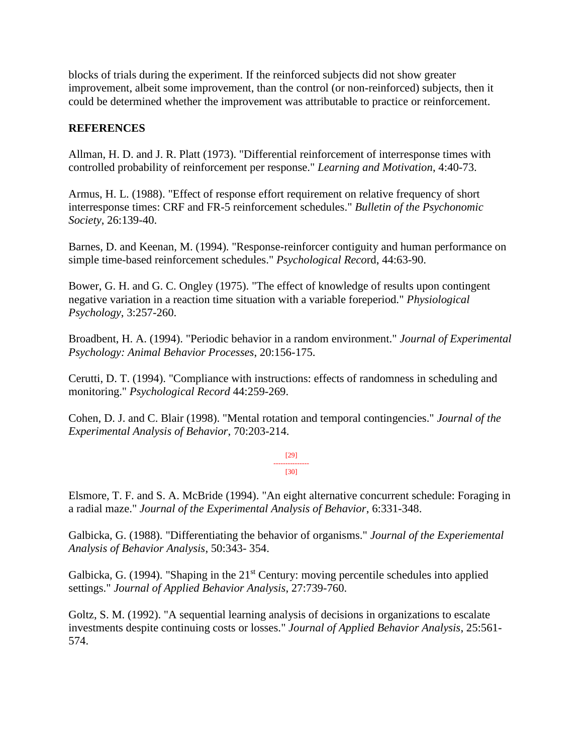blocks of trials during the experiment. If the reinforced subjects did not show greater improvement, albeit some improvement, than the control (or non-reinforced) subjects, then it could be determined whether the improvement was attributable to practice or reinforcement.

## **REFERENCES**

Allman, H. D. and J. R. Platt (1973). "Differential reinforcement of interresponse times with controlled probability of reinforcement per response." *Learning and Motivation*, 4:40-73.

Armus, H. L. (1988). "Effect of response effort requirement on relative frequency of short interresponse times: CRF and FR-5 reinforcement schedules." *Bulletin of the Psychonomic Society*, 26:139-40.

Barnes, D. and Keenan, M. (1994). "Response-reinforcer contiguity and human performance on simple time-based reinforcement schedules." *Psychological Reco*rd, 44:63-90.

Bower, G. H. and G. C. Ongley (1975). "The effect of knowledge of results upon contingent negative variation in a reaction time situation with a variable foreperiod." *Physiological Psychology*, 3:257-260.

Broadbent, H. A. (1994). "Periodic behavior in a random environment." *Journal of Experimental Psychology: Animal Behavior Processes*, 20:156-175.

Cerutti, D. T. (1994). "Compliance with instructions: effects of randomness in scheduling and monitoring." *Psychological Record* 44:259-269.

Cohen, D. J. and C. Blair (1998). "Mental rotation and temporal contingencies." *Journal of the Experimental Analysis of Behavior*, 70:203-214.

> [29] --------------- [30]

Elsmore, T. F. and S. A. McBride (1994). "An eight alternative concurrent schedule: Foraging in a radial maze." *Journal of the Experimental Analysis of Behavior*, 6:331-348.

Galbicka, G. (1988). "Differentiating the behavior of organisms." *Journal of the Experiemental Analysis of Behavior Analysis*, 50:343- 354.

Galbicka, G. (1994). "Shaping in the 21<sup>st</sup> Century: moving percentile schedules into applied settings." *Journal of Applied Behavior Analysis*, 27:739-760.

Goltz, S. M. (1992). "A sequential learning analysis of decisions in organizations to escalate investments despite continuing costs or losses." *Journal of Applied Behavior Analysis*, 25:561- 574.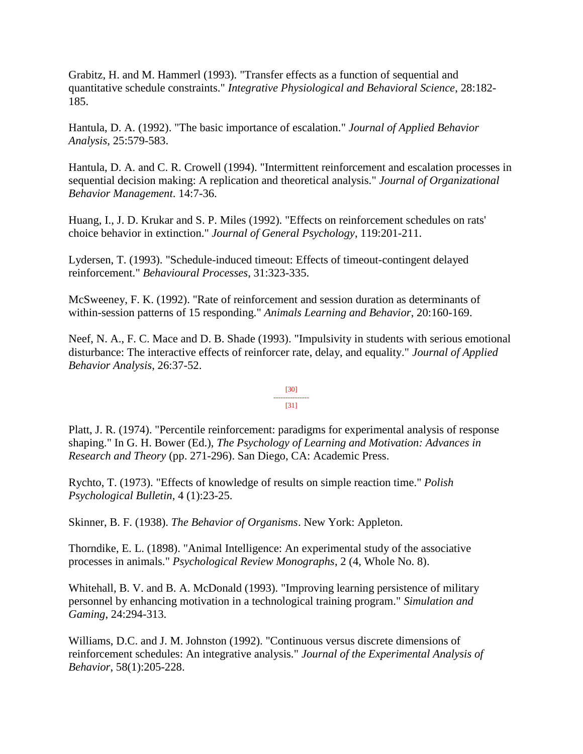Grabitz, H. and M. Hammerl (1993). "Transfer effects as a function of sequential and quantitative schedule constraints." *Integrative Physiological and Behavioral Science*, 28:182- 185.

Hantula, D. A. (1992). "The basic importance of escalation." *Journal of Applied Behavior Analysis*, 25:579-583.

Hantula, D. A. and C. R. Crowell (1994). "Intermittent reinforcement and escalation processes in sequential decision making: A replication and theoretical analysis." *Journal of Organizational Behavior Management*. 14:7-36.

Huang, I., J. D. Krukar and S. P. Miles (1992). "Effects on reinforcement schedules on rats' choice behavior in extinction." *Journal of General Psychology*, 119:201-211.

Lydersen, T. (1993). "Schedule-induced timeout: Effects of timeout-contingent delayed reinforcement." *Behavioural Processes*, 31:323-335.

McSweeney, F. K. (1992). "Rate of reinforcement and session duration as determinants of within-session patterns of 15 responding." *Animals Learning and Behavior*, 20:160-169.

Neef, N. A., F. C. Mace and D. B. Shade (1993). "Impulsivity in students with serious emotional disturbance: The interactive effects of reinforcer rate, delay, and equality." *Journal of Applied Behavior Analysis*, 26:37-52.

#### [30] --------------- [31]

Platt, J. R. (1974). "Percentile reinforcement: paradigms for experimental analysis of response shaping." In G. H. Bower (Ed.), *The Psychology of Learning and Motivation: Advances in Research and Theory* (pp. 271-296). San Diego, CA: Academic Press.

Rychto, T. (1973). "Effects of knowledge of results on simple reaction time." *Polish Psychological Bulletin*, 4 (1):23-25.

Skinner, B. F. (1938). *The Behavior of Organisms*. New York: Appleton.

Thorndike, E. L. (1898). "Animal Intelligence: An experimental study of the associative processes in animals." *Psychological Review Monographs*, 2 (4, Whole No. 8).

Whitehall, B. V. and B. A. McDonald (1993). "Improving learning persistence of military personnel by enhancing motivation in a technological training program." *Simulation and Gaming*, 24:294-313.

Williams, D.C. and J. M. Johnston (1992). "Continuous versus discrete dimensions of reinforcement schedules: An integrative analysis." *Journal of the Experimental Analysis of Behavior*, 58(1):205-228.